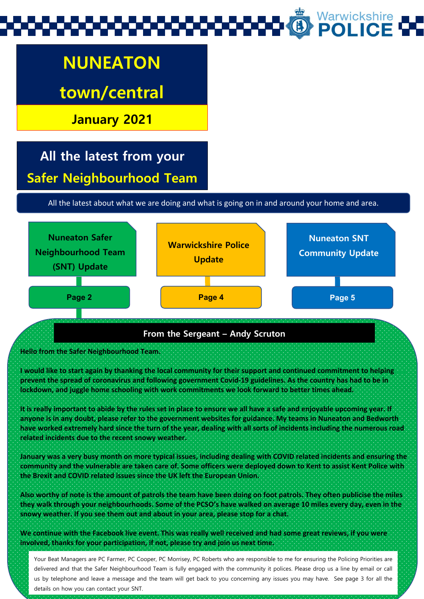# Warwickshire<br>**POLICE**

## **NUNEATON**

**town/central** 

**January 2021**

### **All the latest from your Safer Neighbourhood Team**

All the latest about what we are doing and what is going on in and around your home and area.



### **From the Sergeant – Andy Scruton**

### **Hello from the Safer Neighbourhood Team.**

**I would like to start again by thanking the local community for their support and continued commitment to helping prevent the spread of coronavirus and following government Covid-19 guidelines. As the country has had to be in lockdown, and juggle home schooling with work commitments we look forward to better times ahead.**

**It is really important to abide by the rules set in place to ensure we all have a safe and enjoyable upcoming year. If anyone is in any doubt, please refer to the government websites for guidance. My teams in Nuneaton and Bedworth have worked extremely hard since the turn of the year, dealing with all sorts of incidents including the numerous road related incidents due to the recent snowy weather.**

**January was a very busy month on more typical issues, including dealing with COVID related incidents and ensuring the community and the vulnerable are taken care of. Some officers were deployed down to Kent to assist Kent Police with the Brexit and COVID related issues since the UK left the European Union.**

**Also worthy of note is the amount of patrols the team have been doing on foot patrols. They often publicise the miles they walk through your neighbourhoods. Some of the PCSO's have walked on average 10 miles every day, even in the snowy weather. If you see them out and about in your area, please stop for a chat.**

**We continue with the Facebook live event. This was really well received and had some great reviews, if you were involved, thanks for your participation, if not, please try and join us next time.**

Your Beat Managers are PC Farmer, PC Cooper, PC Morrisey, PC Roberts who are responsible to me for ensuring the Policing Priorities are<br>delivered and that the Safer Neighbourhood Team is fully engaged with the community it us by telephone and leave a message and the team will get back to you concerning any issues you may have. See page 3 for all the details on how you can contact your SNT.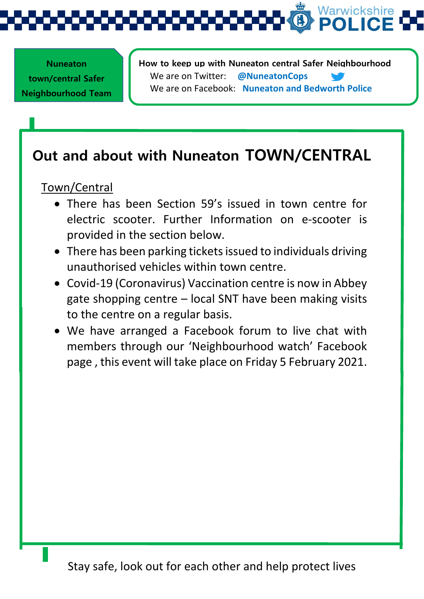

l, **Nuneaton town/central Safer Neighbourhood Team** 

**How to keep up with Nuneaton central Safer Neighbourhood**  We are on Twitter: **@NuneatonCops** We are on Facebook: **Nuneaton and Bedworth Police**

### **Out and about with Nuneaton TOWN/CENTRAL**

Town/Central

- There has been Section 59's issued in town centre for electric scooter. Further Information on e-scooter is provided in the section below.
- There has been parking tickets issued to individuals driving unauthorised vehicles within town centre.
- Covid-19 (Coronavirus) Vaccination centre is now in Abbey gate shopping centre – local SNT have been making visits to the centre on a regular basis.
- We have arranged a Facebook forum to live chat with members through our 'Neighbourhood watch' Facebook page , this event will take place on Friday 5 February 2021.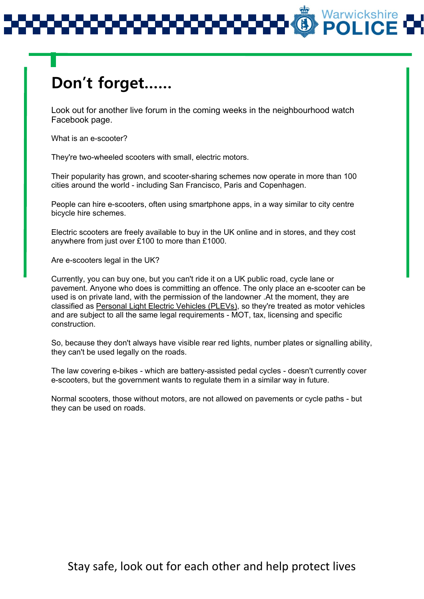### **Don't forget……**

Look out for another live forum in the coming weeks in the neighbourhood watch Facebook page.

What is an e-scooter?

They're two-wheeled scooters with small, electric motors.

Their popularity has grown, and scooter-sharing schemes now operate in more than 100 cities around the world - including San Francisco, Paris and Copenhagen.

People can hire e-scooters, often using smartphone apps, in a way similar to city centre bicycle hire schemes.

Electric scooters are freely available to buy in the UK online and in stores, and they cost anywhere from just over £100 to more than £1000.

Are e-scooters legal in the UK?

Currently, you can buy one, but you can't ride it on a UK public road, cycle lane or pavement. Anyone who does is committing an offence. The only place an e-scooter can be used is on private land, with the permission of the landowner .At the moment, they are classified as [Personal Light Electric Vehicles \(PLEVs\),](https://www.gov.uk/electric-bike-rules) so they're treated as motor vehicles and are subject to all the same legal requirements - MOT, tax, licensing and specific construction.

So, because they don't always have visible rear red lights, number plates or signalling ability, they can't be used legally on the roads.

The law covering e-bikes - which are battery-assisted pedal cycles - doesn't currently cover e-scooters, but the government wants to regulate them in a similar way in future.

Normal scooters, those without motors, are not allowed on pavements or cycle paths - but they can be used on roads.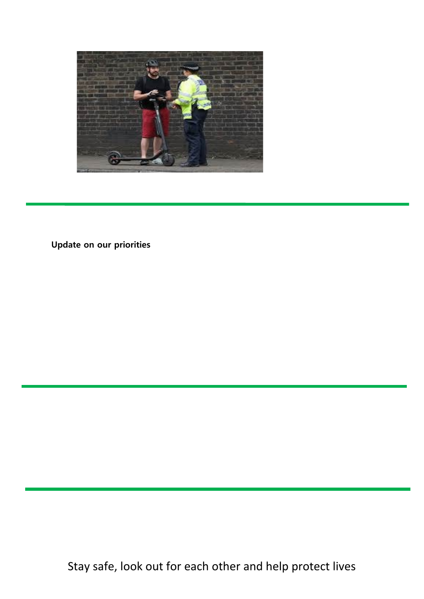

**Update on our priorities**

Stay safe, look out for each other and help protect lives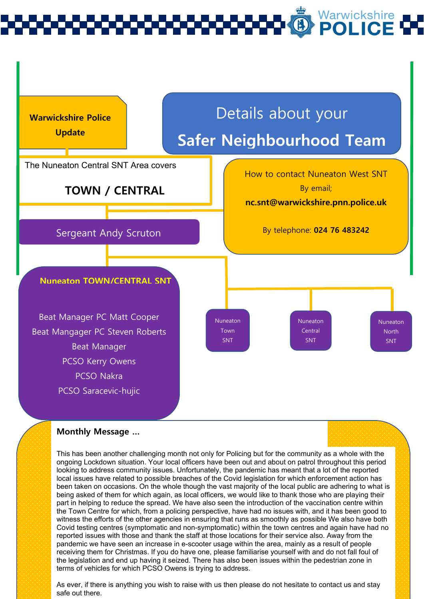# Warwickshire<br>**POLICE**



#### **Monthly Message …**

the legislation and end up having it selzed. There has also been issues within the pedesthan zo<br>terms of vehicles for which PCSO Owens is trying to address. This has been another challenging month not only for Policing but for the community as a whole with the ongoing Lockdown situation. Your local officers have been out and about on patrol throughout this period looking to address community issues. Unfortunately, the pandemic has meant that a lot of the reported local issues have related to possible breaches of the Covid legislation for which enforcement action has been taken on occasions. On the whole though the vast majority of the local public are adhering to what is being asked of them for which again, as local officers, we would like to thank those who are playing their part in helping to reduce the spread. We have also seen the introduction of the vaccination centre within the Town Centre for which, from a policing perspective, have had no issues with, and it has been good to witness the efforts of the other agencies in ensuring that runs as smoothly as possible We also have both Covid testing centres (symptomatic and non-symptomatic) within the town centres and again have had no reported issues with those and thank the staff at those locations for their service also. Away from the pandemic we have seen an increase in e-scooter usage within the area, mainly as a result of people receiving them for Christmas. If you do have one, please familiarise yourself with and do not fall foul of the legislation and end up having it seized. There has also been issues within the pedestrian zone in

As ever, if there is anything you wish to raise with us then please do not hesitate to contact us and stay safe out there.